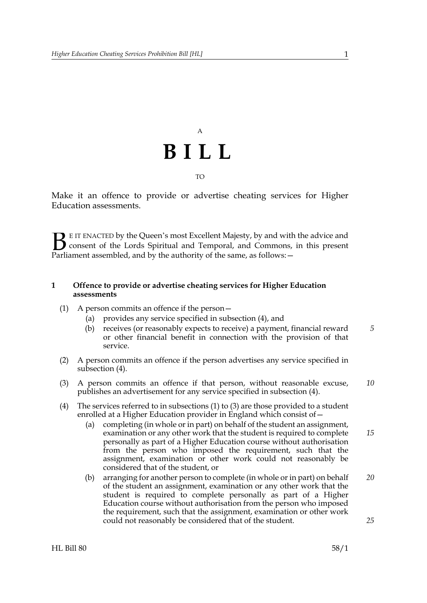## A **BILL** TO

Make it an offence to provide or advertise cheating services for Higher Education assessments.

E IT ENACTED by the Queen's most Excellent Majesty, by and with the advice and consent of the Lords Spiritual and Temporal, and Commons, in this present **B** E IT ENACTED by the Queen's most Excellent Majesty, by and with consent of the Lords Spiritual and Temporal, and Commons, Parliament assembled, and by the authority of the same, as follows:  $-$ 

#### **1 Offence to provide or advertise cheating services for Higher Education assessments**

- <span id="page-0-1"></span>(1) A person commits an offence if the person—
	- (a) provides any service specified in subsection [\(4\)](#page-0-0), and
	- (b) receives (or reasonably expects to receive) a payment, financial reward or other financial benefit in connection with the provision of that service. *5*
- <span id="page-0-3"></span>(2) A person commits an offence if the person advertises any service specified in subsection [\(4\).](#page-0-0)
- <span id="page-0-2"></span>(3) A person commits an offence if that person, without reasonable excuse, publishes an advertisement for any service specified in subsection [\(4\).](#page-0-0) *10*
- <span id="page-0-0"></span>(4) The services referred to in subsections [\(1\)](#page-0-1) to [\(3\)](#page-0-2) are those provided to a student enrolled at a Higher Education provider in England which consist of—
	- (a) completing (in whole or in part) on behalf of the student an assignment, examination or any other work that the student is required to complete personally as part of a Higher Education course without authorisation from the person who imposed the requirement, such that the assignment, examination or other work could not reasonably be considered that of the student, or *15*
	- (b) arranging for another person to complete (in whole or in part) on behalf of the student an assignment, examination or any other work that the student is required to complete personally as part of a Higher Education course without authorisation from the person who imposed the requirement, such that the assignment, examination or other work could not reasonably be considered that of the student. *20 25*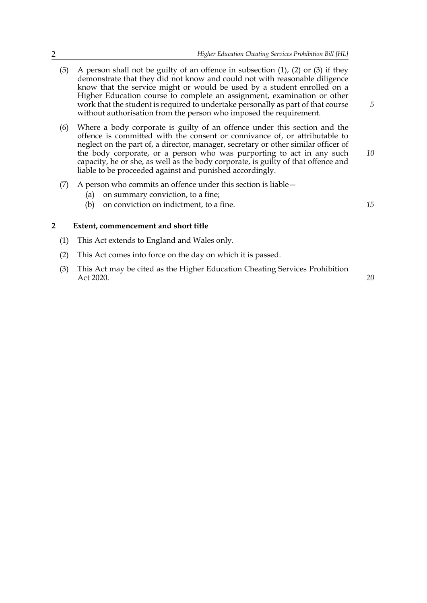*5*

*15*

- (5) A person shall not be guilty of an offence in subsection [\(1\)](#page-0-1), [\(2\)](#page-0-3) or [\(3\)](#page-0-2) if they demonstrate that they did not know and could not with reasonable diligence know that the service might or would be used by a student enrolled on a Higher Education course to complete an assignment, examination or other work that the student is required to undertake personally as part of that course without authorisation from the person who imposed the requirement.
- (6) Where a body corporate is guilty of an offence under this section and the offence is committed with the consent or connivance of, or attributable to neglect on the part of, a director, manager, secretary or other similar officer of the body corporate, or a person who was purporting to act in any such capacity, he or she, as well as the body corporate, is guilty of that offence and liable to be proceeded against and punished accordingly. *10*
- (7) A person who commits an offence under this section is liable—
	- (a) on summary conviction, to a fine;
	- (b) on conviction on indictment, to a fine.

#### **2 Extent, commencement and short title**

- (1) This Act extends to England and Wales only.
- (2) This Act comes into force on the day on which it is passed.
- (3) This Act may be cited as the Higher Education Cheating Services Prohibition Act 2020. *20*